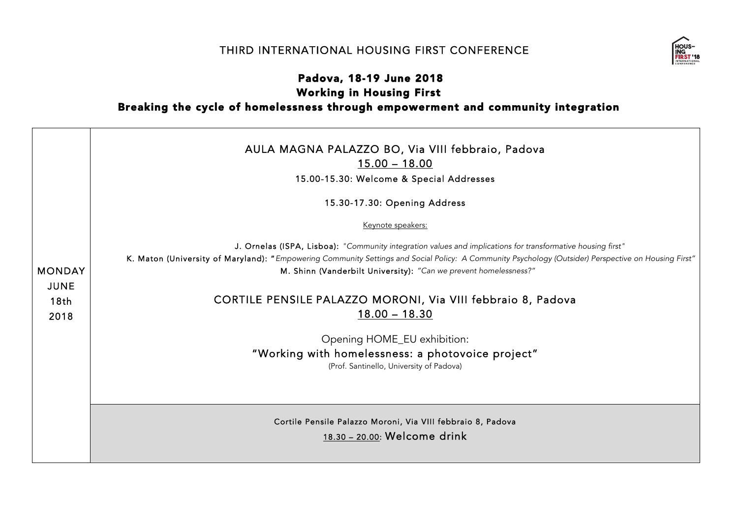## THIRD INTERNATIONAL HOUSING FIRST CONFERENCE



## Padova, 18-19 June 2018 Working in Housing First Breaking the cycle of homelessness through empowerment and community integration

|                                                          | AULA MAGNA PALAZZO BO, Via VIII febbraio, Padova<br>$15.00 - 18.00$<br>15.00-15.30: Welcome & Special Addresses                                                                                                                                                                                                                         |
|----------------------------------------------------------|-----------------------------------------------------------------------------------------------------------------------------------------------------------------------------------------------------------------------------------------------------------------------------------------------------------------------------------------|
|                                                          | 15.30-17.30: Opening Address                                                                                                                                                                                                                                                                                                            |
|                                                          | Keynote speakers:                                                                                                                                                                                                                                                                                                                       |
| <b>MONDAY</b><br><b>JUNE</b><br>18 <sub>th</sub><br>2018 | J. Ornelas (ISPA, Lisboa): "Community integration values and implications for transformative housing first"<br>K. Maton (University of Maryland): "Empowering Community Settings and Social Policy: A Community Psychology (Outsider) Perspective on Housing First"<br>M. Shinn (Vanderbilt University): "Can we prevent homelessness?" |
|                                                          | CORTILE PENSILE PALAZZO MORONI, Via VIII febbraio 8, Padova<br>$18.00 - 18.30$                                                                                                                                                                                                                                                          |
|                                                          | Opening HOME_EU exhibition:                                                                                                                                                                                                                                                                                                             |
|                                                          | "Working with homelessness: a photovoice project"<br>(Prof. Santinello, University of Padova)                                                                                                                                                                                                                                           |
|                                                          |                                                                                                                                                                                                                                                                                                                                         |
|                                                          | Cortile Pensile Palazzo Moroni, Via VIII febbraio 8, Padova<br>18.30 - 20.00: Welcome drink                                                                                                                                                                                                                                             |
|                                                          |                                                                                                                                                                                                                                                                                                                                         |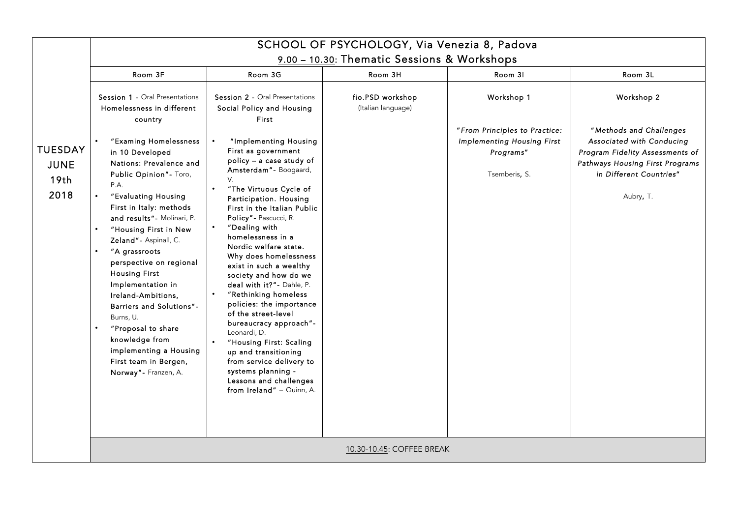|                                                           |                                                                                                                                                                                                                                                                                                                                                                                                                                                                                                                                                                                                                                                |                                                                                                                                                                                                                                                                                                                                                                                                                                                                                                                                                                                                                                                                                                                                                                                           | SCHOOL OF PSYCHOLOGY, Via Venezia 8, Padova            |                                                                                                                |                                                                                                                                                                                  |
|-----------------------------------------------------------|------------------------------------------------------------------------------------------------------------------------------------------------------------------------------------------------------------------------------------------------------------------------------------------------------------------------------------------------------------------------------------------------------------------------------------------------------------------------------------------------------------------------------------------------------------------------------------------------------------------------------------------------|-------------------------------------------------------------------------------------------------------------------------------------------------------------------------------------------------------------------------------------------------------------------------------------------------------------------------------------------------------------------------------------------------------------------------------------------------------------------------------------------------------------------------------------------------------------------------------------------------------------------------------------------------------------------------------------------------------------------------------------------------------------------------------------------|--------------------------------------------------------|----------------------------------------------------------------------------------------------------------------|----------------------------------------------------------------------------------------------------------------------------------------------------------------------------------|
|                                                           | Room 3F                                                                                                                                                                                                                                                                                                                                                                                                                                                                                                                                                                                                                                        | Room 3G                                                                                                                                                                                                                                                                                                                                                                                                                                                                                                                                                                                                                                                                                                                                                                                   | 9.00 - 10.30: Thematic Sessions & Workshops<br>Room 3H | Room 31                                                                                                        | Room 3L                                                                                                                                                                          |
| <b>TUESDAY</b><br><b>JUNE</b><br>19 <sub>th</sub><br>2018 | <b>Session 1 - Oral Presentations</b><br>Homelessness in different<br>country<br>"Examing Homelessness<br>in 10 Developed<br>Nations: Prevalence and<br>Public Opinion" - Toro,<br>P.A.<br>"Evaluating Housing<br>$\bullet$<br>First in Italy: methods<br>and results" - Molinari, P.<br>"Housing First in New<br>Zeland" - Aspinall, C.<br>"A grassroots<br>$\bullet$<br>perspective on regional<br><b>Housing First</b><br>Implementation in<br>Ireland-Ambitions,<br>Barriers and Solutions"-<br>Burns, U.<br>"Proposal to share<br>$\bullet$<br>knowledge from<br>implementing a Housing<br>First team in Bergen,<br>Norway" - Franzen, A. | <b>Session 2 - Oral Presentations</b><br>Social Policy and Housing<br>First<br>"Implementing Housing<br>First as government<br>policy - a case study of<br>Amsterdam" - Boogaard,<br>V.<br>"The Virtuous Cycle of<br>$\bullet$<br>Participation. Housing<br>First in the Italian Public<br>Policy" - Pascucci, R.<br>"Dealing with<br>homelessness in a<br>Nordic welfare state.<br>Why does homelessness<br>exist in such a wealthy<br>society and how do we<br>deal with it?" - Dahle, P.<br>$\bullet$<br>"Rethinking homeless<br>policies: the importance<br>of the street-level<br>bureaucracy approach"-<br>Leonardi, D.<br>"Housing First: Scaling<br>up and transitioning<br>from service delivery to<br>systems planning -<br>Lessons and challenges<br>from Ireland" - Quinn, A. | fio.PSD workshop<br>(Italian language)                 | Workshop 1<br>"From Principles to Practice:<br><b>Implementing Housing First</b><br>Programs"<br>Tsemberis, S. | Workshop 2<br>"Methods and Challenges<br>Associated with Conducing<br>Program Fidelity Assessments of<br>Pathways Housing First Programs<br>in Different Countries"<br>Aubry, T. |
|                                                           | 10.30-10.45: COFFEE BREAK                                                                                                                                                                                                                                                                                                                                                                                                                                                                                                                                                                                                                      |                                                                                                                                                                                                                                                                                                                                                                                                                                                                                                                                                                                                                                                                                                                                                                                           |                                                        |                                                                                                                |                                                                                                                                                                                  |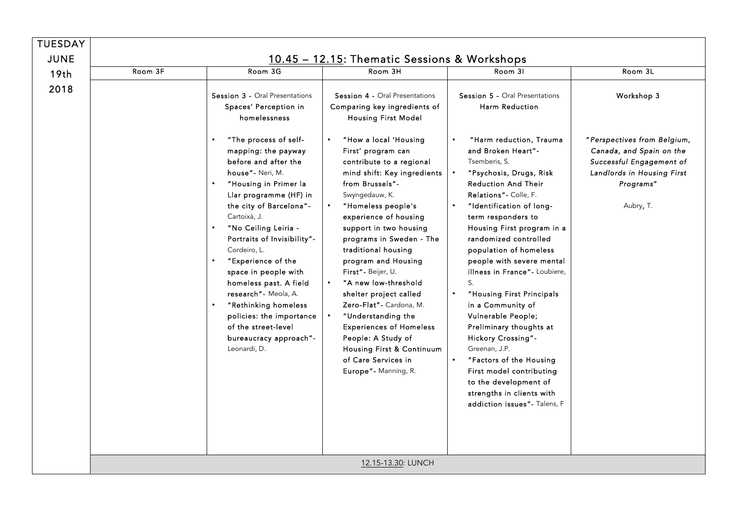| <b>TUESDAY</b>   |         |                                                                                                                                                                                                                                                                                                                                                                                                                                                                                                                                                                                           |                                                                                                                                                                                                                                                                                                                                                                                                                                                                                                                                                                                                                                                         |                                                                                                                                                                                                                                                                                                                                                                                                                                                                                                                                                                                                                                                                                                                           |                                                                                                                                                           |
|------------------|---------|-------------------------------------------------------------------------------------------------------------------------------------------------------------------------------------------------------------------------------------------------------------------------------------------------------------------------------------------------------------------------------------------------------------------------------------------------------------------------------------------------------------------------------------------------------------------------------------------|---------------------------------------------------------------------------------------------------------------------------------------------------------------------------------------------------------------------------------------------------------------------------------------------------------------------------------------------------------------------------------------------------------------------------------------------------------------------------------------------------------------------------------------------------------------------------------------------------------------------------------------------------------|---------------------------------------------------------------------------------------------------------------------------------------------------------------------------------------------------------------------------------------------------------------------------------------------------------------------------------------------------------------------------------------------------------------------------------------------------------------------------------------------------------------------------------------------------------------------------------------------------------------------------------------------------------------------------------------------------------------------------|-----------------------------------------------------------------------------------------------------------------------------------------------------------|
| <b>JUNE</b>      |         |                                                                                                                                                                                                                                                                                                                                                                                                                                                                                                                                                                                           | 10.45 - 12.15: Thematic Sessions & Workshops                                                                                                                                                                                                                                                                                                                                                                                                                                                                                                                                                                                                            |                                                                                                                                                                                                                                                                                                                                                                                                                                                                                                                                                                                                                                                                                                                           |                                                                                                                                                           |
| 19 <sub>th</sub> | Room 3F | Room 3G                                                                                                                                                                                                                                                                                                                                                                                                                                                                                                                                                                                   | Room 3H                                                                                                                                                                                                                                                                                                                                                                                                                                                                                                                                                                                                                                                 | Room 31                                                                                                                                                                                                                                                                                                                                                                                                                                                                                                                                                                                                                                                                                                                   | Room 3L                                                                                                                                                   |
| 2018             |         | Session 3 - Oral Presentations<br>Spaces' Perception in<br>homelessness<br>"The process of self-<br>mapping: the payway<br>before and after the<br>house" - Neri, M.<br>"Housing in Primer la<br>$\bullet$<br>Llar programme (HF) in<br>the city of Barcelona"-<br>Cartoixà, J.<br>"No Ceiling Leiria -<br>Portraits of Invisibility"-<br>Cordeiro. L.<br>"Experience of the<br>$\bullet$<br>space in people with<br>homeless past. A field<br>research" - Meola, A.<br>"Rethinking homeless<br>policies: the importance<br>of the street-level<br>bureaucracy approach"-<br>Leonardi, D. | Session 4 - Oral Presentations<br>Comparing key ingredients of<br>Housing First Model<br>"How a local 'Housing<br>First' program can<br>contribute to a regional<br>mind shift: Key ingredients<br>from Brussels"-<br>Swyngedauw, K.<br>"Homeless people's<br>experience of housing<br>support in two housing<br>programs in Sweden - The<br>traditional housing<br>program and Housing<br>First" - Beijer, U.<br>"A new low-threshold<br>shelter project called<br>Zero-Flat" - Cardona, M.<br>"Understanding the<br><b>Experiences of Homeless</b><br>People: A Study of<br>Housing First & Continuum<br>of Care Services in<br>Europe" - Manning, R. | <b>Session 5 - Oral Presentations</b><br>Harm Reduction<br>"Harm reduction, Trauma<br>and Broken Heart"-<br>Tsemberis, S.<br>"Psychosis, Drugs, Risk<br><b>Reduction And Their</b><br>Relations" - Colle, F.<br>"Identification of long-<br>term responders to<br>Housing First program in a<br>randomized controlled<br>population of homeless<br>people with severe mental<br>illness in France" - Loubiere,<br>S.<br>"Housing First Principals<br>in a Community of<br>Vulnerable People;<br>Preliminary thoughts at<br>Hickory Crossing"-<br>Greenan, J.P.<br>"Factors of the Housing<br>$\bullet$<br>First model contributing<br>to the development of<br>strengths in clients with<br>addiction issues" - Talens, F | Workshop 3<br>"Perspectives from Belgium,<br>Canada, and Spain on the<br>Successful Engagement of<br>Landlords in Housing First<br>Programs"<br>Aubry, T. |
|                  |         |                                                                                                                                                                                                                                                                                                                                                                                                                                                                                                                                                                                           | 12.15-13.30: LUNCH                                                                                                                                                                                                                                                                                                                                                                                                                                                                                                                                                                                                                                      |                                                                                                                                                                                                                                                                                                                                                                                                                                                                                                                                                                                                                                                                                                                           |                                                                                                                                                           |
|                  |         |                                                                                                                                                                                                                                                                                                                                                                                                                                                                                                                                                                                           |                                                                                                                                                                                                                                                                                                                                                                                                                                                                                                                                                                                                                                                         |                                                                                                                                                                                                                                                                                                                                                                                                                                                                                                                                                                                                                                                                                                                           |                                                                                                                                                           |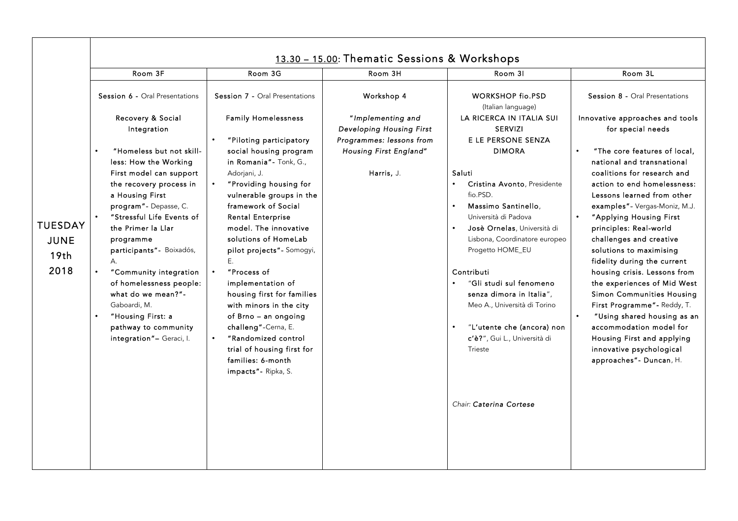|                                                           | Room 3F                                                                                                                                                                                                                                                                                                                                                                                                                    | Room 3G                                                                                                                                                                                                                                                                                                                                                                                                                                                                                                       | Room 3H                                                                   | Room 31                                                                                                                                                                                                                                                                                                                                                                             | Room 3L                                                                                                                                                                                                                                                                                                                                                                                                                                                                                                                                                                                                                            |
|-----------------------------------------------------------|----------------------------------------------------------------------------------------------------------------------------------------------------------------------------------------------------------------------------------------------------------------------------------------------------------------------------------------------------------------------------------------------------------------------------|---------------------------------------------------------------------------------------------------------------------------------------------------------------------------------------------------------------------------------------------------------------------------------------------------------------------------------------------------------------------------------------------------------------------------------------------------------------------------------------------------------------|---------------------------------------------------------------------------|-------------------------------------------------------------------------------------------------------------------------------------------------------------------------------------------------------------------------------------------------------------------------------------------------------------------------------------------------------------------------------------|------------------------------------------------------------------------------------------------------------------------------------------------------------------------------------------------------------------------------------------------------------------------------------------------------------------------------------------------------------------------------------------------------------------------------------------------------------------------------------------------------------------------------------------------------------------------------------------------------------------------------------|
|                                                           | Session 6 - Oral Presentations                                                                                                                                                                                                                                                                                                                                                                                             | Session 7 - Oral Presentations                                                                                                                                                                                                                                                                                                                                                                                                                                                                                | Workshop 4                                                                | <b>WORKSHOP fio.PSD</b><br>(Italian language)                                                                                                                                                                                                                                                                                                                                       | Session 8 - Oral Presentations                                                                                                                                                                                                                                                                                                                                                                                                                                                                                                                                                                                                     |
|                                                           | Recovery & Social<br>Integration                                                                                                                                                                                                                                                                                                                                                                                           | <b>Family Homelessness</b><br>"Piloting participatory                                                                                                                                                                                                                                                                                                                                                                                                                                                         | "Implementing and<br>Developing Housing First<br>Programmes: lessons from | LA RICERCA IN ITALIA SUI<br><b>SERVIZI</b><br>E LE PERSONE SENZA                                                                                                                                                                                                                                                                                                                    | Innovative approaches and tools<br>for special needs                                                                                                                                                                                                                                                                                                                                                                                                                                                                                                                                                                               |
| <b>TUESDAY</b><br><b>JUNE</b><br>19 <sub>th</sub><br>2018 | "Homeless but not skill-<br>less: How the Working<br>First model can support<br>the recovery process in<br>a Housing First<br>program" - Depasse, C.<br>"Stressful Life Events of<br>the Primer la Llar<br>programme<br>participants"- Boixadós,<br>A.<br>"Community integration<br>of homelessness people:<br>what do we mean?"-<br>Gaboardi, M.<br>"Housing First: a<br>pathway to community<br>integration"- Geraci, I. | social housing program<br>in Romania" - Tonk, G.,<br>Adorjani, J.<br>"Providing housing for<br>vulnerable groups in the<br>framework of Social<br><b>Rental Enterprise</b><br>model. The innovative<br>solutions of HomeLab<br>pilot projects" - Somogyi,<br>Ε.<br>"Process of<br>implementation of<br>housing first for families<br>with minors in the city<br>of Brno - an ongoing<br>challeng"-Cerna, E.<br>"Randomized control<br>trial of housing first for<br>families: 6-month<br>impacts" - Ripka, S. | Housing First England"<br>Harris, J.                                      | <b>DIMORA</b><br>Saluti<br>Cristina Avonto, Presidente<br>fio.PSD.<br>Massimo Santinello.<br>Università di Padova<br>Josè Ornelas, Università di<br>Lisbona, Coordinatore europeo<br>Progetto HOME_EU<br>Contributi<br>"Gli studi sul fenomeno<br>senza dimora in Italia",<br>Meo A., Università di Torino<br>"L'utente che (ancora) non<br>c'è?", Gui L., Università di<br>Trieste | "The core features of local,<br>national and transnational<br>coalitions for research and<br>action to end homelessness:<br>Lessons learned from other<br>examples" - Vergas-Moniz, M.J.<br>$\bullet$<br>"Applying Housing First<br>principles: Real-world<br>challenges and creative<br>solutions to maximising<br>fidelity during the current<br>housing crisis. Lessons from<br>the experiences of Mid West<br><b>Simon Communities Housing</b><br>First Programme" - Reddy, T.<br>"Using shared housing as an<br>accommodation model for<br>Housing First and applying<br>innovative psychological<br>approaches" - Duncan, H. |
|                                                           |                                                                                                                                                                                                                                                                                                                                                                                                                            |                                                                                                                                                                                                                                                                                                                                                                                                                                                                                                               |                                                                           | Chair: Caterina Cortese                                                                                                                                                                                                                                                                                                                                                             |                                                                                                                                                                                                                                                                                                                                                                                                                                                                                                                                                                                                                                    |

┍

┯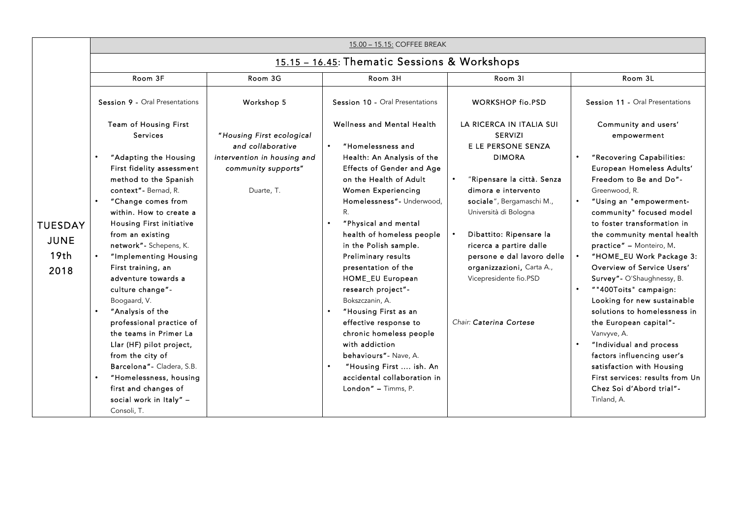|                               |                                                                                                                                                                                                                                                                                                                                                            |                                                                                                                                                                                                                                                        | 15.00 - 15.15: COFFEE BREAK                                                                                                                                                                                                                                                               |                                                                                                                                                                                                                                                                                             |                                                                                                                                                                                                                                                                                                                                                                |  |
|-------------------------------|------------------------------------------------------------------------------------------------------------------------------------------------------------------------------------------------------------------------------------------------------------------------------------------------------------------------------------------------------------|--------------------------------------------------------------------------------------------------------------------------------------------------------------------------------------------------------------------------------------------------------|-------------------------------------------------------------------------------------------------------------------------------------------------------------------------------------------------------------------------------------------------------------------------------------------|---------------------------------------------------------------------------------------------------------------------------------------------------------------------------------------------------------------------------------------------------------------------------------------------|----------------------------------------------------------------------------------------------------------------------------------------------------------------------------------------------------------------------------------------------------------------------------------------------------------------------------------------------------------------|--|
|                               | 15.15 - 16.45: Thematic Sessions & Workshops                                                                                                                                                                                                                                                                                                               |                                                                                                                                                                                                                                                        |                                                                                                                                                                                                                                                                                           |                                                                                                                                                                                                                                                                                             |                                                                                                                                                                                                                                                                                                                                                                |  |
|                               | Room 3F                                                                                                                                                                                                                                                                                                                                                    | Room 3G                                                                                                                                                                                                                                                | Room 3H                                                                                                                                                                                                                                                                                   | Room 31                                                                                                                                                                                                                                                                                     | Room 3L                                                                                                                                                                                                                                                                                                                                                        |  |
| <b>TUESDAY</b><br><b>JUNE</b> | Session 9 - Oral Presentations                                                                                                                                                                                                                                                                                                                             | Workshop 5                                                                                                                                                                                                                                             | Session 10 - Oral Presentations                                                                                                                                                                                                                                                           | <b>WORKSHOP fio.PSD</b>                                                                                                                                                                                                                                                                     | Session 11 - Oral Presentations                                                                                                                                                                                                                                                                                                                                |  |
|                               | Team of Housing First<br><b>Services</b>                                                                                                                                                                                                                                                                                                                   | "Housing First ecological<br>and collaborative                                                                                                                                                                                                         | Wellness and Mental Health<br>"Homelessness and<br>$\bullet$                                                                                                                                                                                                                              | LA RICERCA IN ITALIA SUI<br><b>SERVIZI</b><br>E LE PERSONE SENZA                                                                                                                                                                                                                            | Community and users'<br>empowerment                                                                                                                                                                                                                                                                                                                            |  |
|                               | intervention in housing and<br>"Adapting the Housing<br>First fidelity assessment<br>community supports"<br>method to the Spanish<br>context" - Bernad, R.<br>Duarte, T.<br>"Change comes from<br>within. How to create a<br><b>Housing First initiative</b><br>from an existing<br>network" - Schepens, K.                                                | Health: An Analysis of the<br><b>Effects of Gender and Age</b><br>on the Health of Adult<br>Women Experiencing<br>Homelessness"- Underwood,<br>R.<br>"Physical and mental<br>health of homeless people<br>in the Polish sample.<br>Preliminary results | <b>DIMORA</b><br>"Ripensare la città. Senza<br>dimora e intervento<br>sociale", Bergamaschi M.,<br>Università di Bologna<br>Dibattito: Ripensare la<br>ricerca a partire dalle<br>persone e dal lavoro delle                                                                              | "Recovering Capabilities:<br>European Homeless Adults'<br>Freedom to Be and Do"-<br>Greenwood, R.<br>"Using an "empowerment-<br>$\bullet$<br>community" focused model<br>to foster transformation in<br>the community mental health<br>practice" - Monteiro, M.<br>"HOME_EU Work Package 3: |                                                                                                                                                                                                                                                                                                                                                                |  |
| 19 <sub>th</sub><br>2018      | "Implementing Housing<br>First training, an<br>adventure towards a<br>culture change"-<br>Boogaard, V.<br>"Analysis of the<br>professional practice of<br>the teams in Primer La<br>Llar (HF) pilot project,<br>from the city of<br>Barcelona" - Cladera, S.B.<br>"Homelessness, housing<br>first and changes of<br>social work in Italy" -<br>Consoli, T. |                                                                                                                                                                                                                                                        | presentation of the<br>HOME_EU European<br>research project"-<br>Bokszczanin, A.<br>"Housing First as an<br>effective response to<br>chronic homeless people<br>with addiction<br>behaviours" - Nave, A.<br>"Housing First  ish. An<br>accidental collaboration in<br>London" - Timms, P. | organizzazioni, Carta A.,<br>Vicepresidente fio.PSD<br>Chair: Caterina Cortese                                                                                                                                                                                                              | Overview of Service Users'<br>Survey" - O'Shaughnessy, B.<br>""400Toits" campaign:<br>Looking for new sustainable<br>solutions to homelessness in<br>the European capital"-<br>Vanvyve, A.<br>"Individual and process<br>factors influencing user's<br>satisfaction with Housing<br>First services: results from Un<br>Chez Soi d'Abord trial"-<br>Tinland, A. |  |